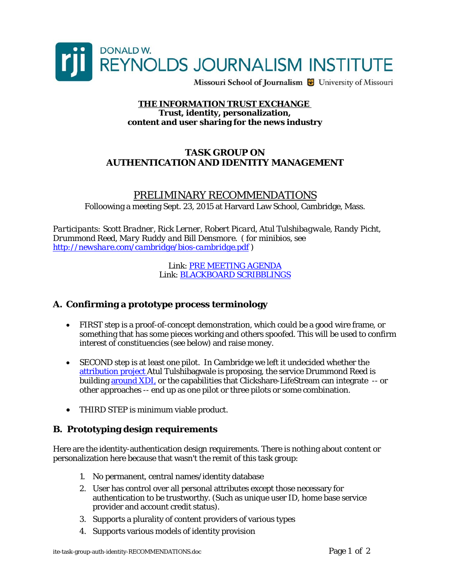

Missouri School of Journalism & University of Missouri

#### **THE INFORMATION TRUST EXCHANGE Trust, identity, personalization, content and user sharing for the news industry**

### **TASK GROUP ON AUTHENTICATION AND IDENTITY MANAGEMENT**

PRELIMINARY RECOMMENDATIONS Folloowing a meeting Sept. 23, 2015 at Harvard Law School, Cambridge, Mass.

*Participants: Scott Bradner, Rick Lerner, Robert Picard, Atul Tulshibagwale, Randy Picht, Drummond Reed, Mary Ruddy and Bill Densmore. ( for minibios, see <http://newshare.com/cambridge/bios-cambridge.pdf>)* 

> Link: [PRE MEETING AGENDA](http://newshare.com/cambridge/AGENDA-ite-task-group-auth-identity.pdf) Link: [BLACKBOARD SCRIBBLINGS](https://www.flickr.com/photos/mediagiraffe/albums/72157658611763068)

# **A. Confirming a prototype process terminology**

- FIRST step is a proof-of-concept demonstration, which could be a good wire frame, or something that has some pieces working and others spoofed. This will be used to confirm interest of constituencies (see below) and raise money.
- SECOND step is at least one pilot. In Cambridge we left it undecided whether the [attribution project](http://newshare.com/cambridge/ite-attribution-exchange.pdf) Atul Tulshibagwale is proposing, the service Drummond Reed is building [around XDI,](https://docs.google.com/presentation/d/1CTb0Mg0ZlS-yvnDwie3aHAUnevIDq2m26iWJ5nq6kag/edit?usp=sharing) or the capabilities that Clickshare-LifeStream can integrate -- or other approaches -- end up as one pilot or three pilots or some combination.
- THIRD STEP is minimum viable product.

#### **B. Prototyping design requirements**

Here are the identity-authentication design requirements. There is nothing about content or personalization here because that wasn't the remit of this task group:

- 1. No permanent, central names/identity database
- 2. User has control over all personal attributes except those necessary for authentication to be trustworthy. (Such as unique user ID, home base service provider and account credit status).
- 3. Supports a plurality of content providers of various types
- 4. Supports various models of identity provision